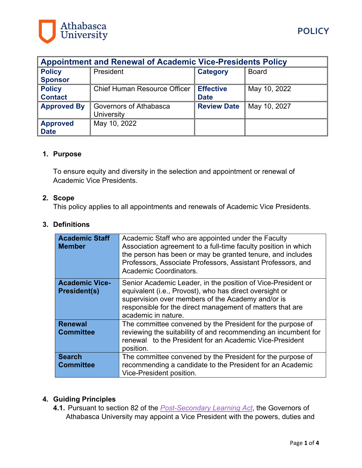

| <b>Appointment and Renewal of Academic Vice-Presidents Policy</b> |                                     |                    |              |
|-------------------------------------------------------------------|-------------------------------------|--------------------|--------------|
| <b>Policy</b>                                                     | President                           | <b>Category</b>    | <b>Board</b> |
| <b>Sponsor</b>                                                    |                                     |                    |              |
| <b>Policy</b>                                                     | <b>Chief Human Resource Officer</b> | <b>Effective</b>   | May 10, 2022 |
| <b>Contact</b>                                                    |                                     | <b>Date</b>        |              |
| <b>Approved By</b>                                                | Governors of Athabasca              | <b>Review Date</b> | May 10, 2027 |
|                                                                   | University                          |                    |              |
| <b>Approved</b>                                                   | May 10, 2022                        |                    |              |
| <b>Date</b>                                                       |                                     |                    |              |

## **1. Purpose**

To ensure equity and diversity in the selection and appointment or renewal of Academic Vice Presidents.

#### **2. Scope**

This policy applies to all appointments and renewals of Academic Vice Presidents.

#### **3. Definitions**

| <b>Academic Staff</b><br><b>Member</b>       | Academic Staff who are appointed under the Faculty<br>Association agreement to a full-time faculty position in which<br>the person has been or may be granted tenure, and includes<br>Professors, Associate Professors, Assistant Professors, and<br>Academic Coordinators. |
|----------------------------------------------|-----------------------------------------------------------------------------------------------------------------------------------------------------------------------------------------------------------------------------------------------------------------------------|
| <b>Academic Vice-</b><br><b>President(s)</b> | Senior Academic Leader, in the position of Vice-President or<br>equivalent (i.e., Provost), who has direct oversight or<br>supervision over members of the Academy and/or is<br>responsible for the direct management of matters that are<br>academic in nature.            |
| <b>Renewal</b><br><b>Committee</b>           | The committee convened by the President for the purpose of<br>reviewing the suitability of and recommending an incumbent for<br>renewal to the President for an Academic Vice-President<br>position.                                                                        |
| <b>Search</b><br><b>Committee</b>            | The committee convened by the President for the purpose of<br>recommending a candidate to the President for an Academic<br>Vice-President position.                                                                                                                         |

## **4. Guiding Principles**

**4.1.** Pursuant to section 82 of the *[Post-Secondary Learning Act](http://www.qp.alberta.ca/documents/acts/p19p5.pdf)*, the Governors of Athabasca University may appoint a Vice President with the powers, duties and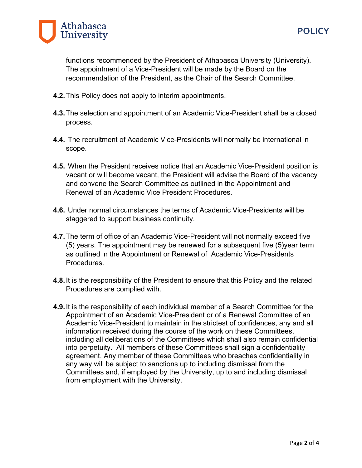

**POLICY**

functions recommended by the President of Athabasca University (University). The appointment of a Vice-President will be made by the Board on the recommendation of the President, as the Chair of the Search Committee.

- **4.2.**This Policy does not apply to interim appointments.
- **4.3.**The selection and appointment of an Academic Vice-President shall be a closed process.
- **4.4.** The recruitment of Academic Vice-Presidents will normally be international in scope.
- **4.5.** When the President receives notice that an Academic Vice-President position is vacant or will become vacant, the President will advise the Board of the vacancy and convene the Search Committee as outlined in the Appointment and Renewal of an Academic Vice President Procedures.
- **4.6.** Under normal circumstances the terms of Academic Vice-Presidents will be staggered to support business continuity.
- **4.7.**The term of office of an Academic Vice-President will not normally exceed five (5) years. The appointment may be renewed for a subsequent five (5)year term as outlined in the Appointment or Renewal of Academic Vice-Presidents Procedures.
- **4.8.**It is the responsibility of the President to ensure that this Policy and the related Procedures are complied with.
- **4.9.**It is the responsibility of each individual member of a Search Committee for the Appointment of an Academic Vice-President or of a Renewal Committee of an Academic Vice-President to maintain in the strictest of confidences, any and all information received during the course of the work on these Committees, including all deliberations of the Committees which shall also remain confidential into perpetuity. All members of these Committees shall sign a confidentiality agreement. Any member of these Committees who breaches confidentiality in any way will be subject to sanctions up to including dismissal from the Committees and, if employed by the University, up to and including dismissal from employment with the University.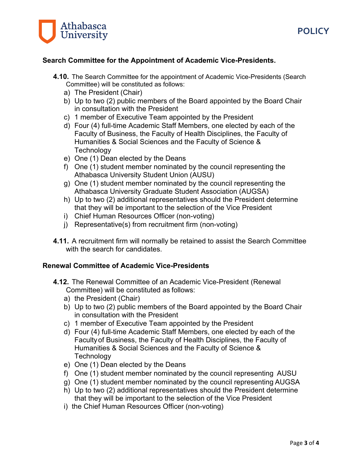



### **Search Committee for the Appointment of Academic Vice-Presidents.**

- **4.10.** The Search Committee for the appointment of Academic Vice-Presidents (Search Committee) will be constituted as follows:
	- a) The President (Chair)
	- b) Up to two (2) public members of the Board appointed by the Board Chair in consultation with the President
	- c) 1 member of Executive Team appointed by the President
	- d) Four (4) full-time Academic Staff Members, one elected by each of the Faculty of Business, the Faculty of Health Disciplines, the Faculty of Humanities & Social Sciences and the Faculty of Science & **Technology**
	- e) One (1) Dean elected by the Deans
	- f) One (1) student member nominated by the council representing the Athabasca University Student Union (AUSU)
	- g) One (1) student member nominated by the council representing the Athabasca University Graduate Student Association (AUGSA)
	- h) Up to two (2) additional representatives should the President determine that they will be important to the selection of the Vice President
	- i) Chief Human Resources Officer (non-voting)
	- j) Representative(s) from recruitment firm (non-voting)
- **4.11.** A recruitment firm will normally be retained to assist the Search Committee with the search for candidates.

#### **Renewal Committee of Academic Vice-Presidents**

- **4.12.** The Renewal Committee of an Academic Vice-President (Renewal Committee) will be constituted as follows:
	- a) the President (Chair)
	- b) Up to two (2) public members of the Board appointed by the Board Chair in consultation with the President
	- c) 1 member of Executive Team appointed by the President
	- d) Four (4) full-time Academic Staff Members, one elected by each of the Facultyof Business, the Faculty of Health Disciplines, the Faculty of Humanities & Social Sciences and the Faculty of Science & **Technology**
	- e) One (1) Dean elected by the Deans
	- f) One (1) student member nominated by the council representing AUSU
	- g) One (1) student member nominated by the council representing AUGSA
	- h) Up to two (2) additional representatives should the President determine that they will be important to the selection of the Vice President
	- i) the Chief Human Resources Officer (non-voting)